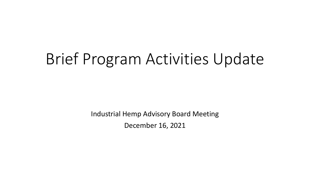## Brief Program Activities Update

Industrial Hemp Advisory Board Meeting December 16, 2021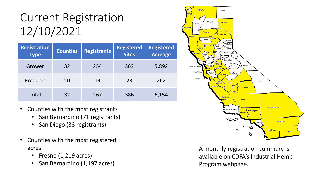## Current Registration – 12/10/2021

| <b>Registration</b><br><b>Type</b> | <b>Counties</b> | <b>Registrants</b> | <b>Registered</b><br><b>Sites</b> | <b>Registered</b><br><b>Acreage</b> |
|------------------------------------|-----------------|--------------------|-----------------------------------|-------------------------------------|
| Grower                             | 32              | 254                | 363                               | 5,892                               |
| <b>Breeders</b>                    | 10              | 13                 | 23                                | 262                                 |
| Total                              | 32              | 267                | 386                               | 6,154                               |

- Counties with the most registrants
	- San Bernardino (71 registrants)
	- San Diego (33 registrants)
- Counties with the most registered acres
	- Fresno (1,219 acres)
	- San Bernardino (1,197 acres)



A monthly registration summary is available on CDFA's Industrial Hemp Program webpage.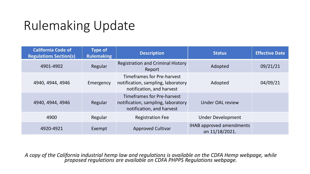## Rulemaking Update

| <b>California Code of</b><br><b>Regulations Section(s)</b> | Type of<br><b>Rulemaking</b> | <b>Description</b>                                                                                   | <b>Status</b>                                     | <b>Effective Date</b> |
|------------------------------------------------------------|------------------------------|------------------------------------------------------------------------------------------------------|---------------------------------------------------|-----------------------|
| 4901-4902                                                  | Regular                      | <b>Registration and Criminal History</b><br>Report                                                   | Adopted                                           | 09/21/21              |
| 4940, 4944, 4946                                           | Emergency                    | Timeframes for Pre-harvest<br>notification, sampling, laboratory<br>notification, and harvest        | Adopted                                           | 04/09/21              |
| 4940, 4944, 4946                                           | Regular                      | <b>Timeframes for Pre-harvest</b><br>notification, sampling, laboratory<br>notification, and harvest | Under OAL review                                  |                       |
| 4900                                                       | Regular                      | <b>Registration Fee</b>                                                                              | <b>Under Development</b>                          |                       |
| 4920-4921                                                  | Exempt                       | <b>Approved Cultivar</b>                                                                             | <b>IHAB approved amendments</b><br>on 11/18/2021. |                       |

*A copy of the California industrial hemp law and regulations is available on the CDFA Hemp webpage, while proposed regulations are available on CDFA PHPPS Regulations webpage.*